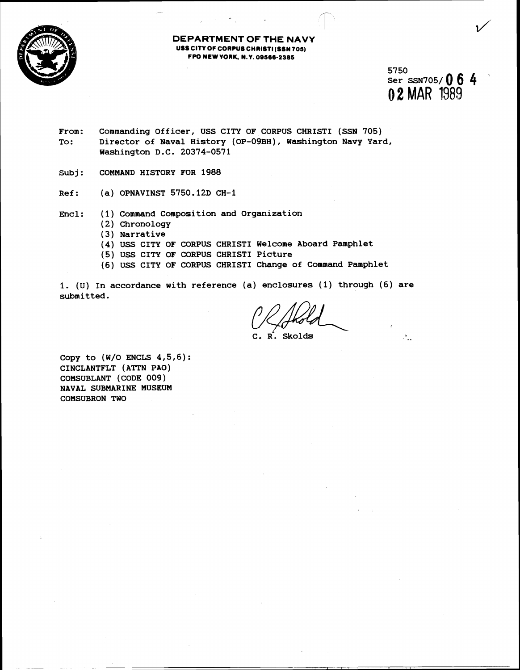

## **DEPARTMENT OF THE NAVY USS CITY OF CORPUS CHRISTI (SSN 705) FPO MEW WRK. M.Y. 09566-2305**

**5750 ser SSN705/ 0 6 4 0 2** MAR 1989

 $\mathcal{F}_{\mathbf{r},\mathbf{r}}$ 

- **From: Commanding Officer, USS CITY OF CORPUS CHRIST1 (SSN 705) To** : **Director of Naval History (OP-09BH), Washington Navy Yard, Washington D.C. 20374-0571**
- **Subj: COMMAND HISTORY FOR 1988**
- **Ref: (a) OPNAVINST 5750.12D CH-1**
- **Encl: (1) Command Composition and Organization** 
	- **(2) Chronology**
	- **(3) Narrative**
	- **(4) USS CITY OF CORPUS CHRIST1 Welcome Aboard Pamphlet**
	- **(5) USS CITY OF CORPUS CHRIST1 Picture**
	- **(6) USS CITY OF CORPUS CHRIST1 Change of Connand Pamphlet**

**1. (U) In accordance with reference (a) enclosures (1) through (6) are submitted.** 

C. R. Skolds

**Copy to (W/O ENCLS 4,5,6): CINCLANTFLT (ATTN PAO) COMSUBLANT (CODE 009) NAVAL SUBMARINE MUSEUM COMSUBRON TWO**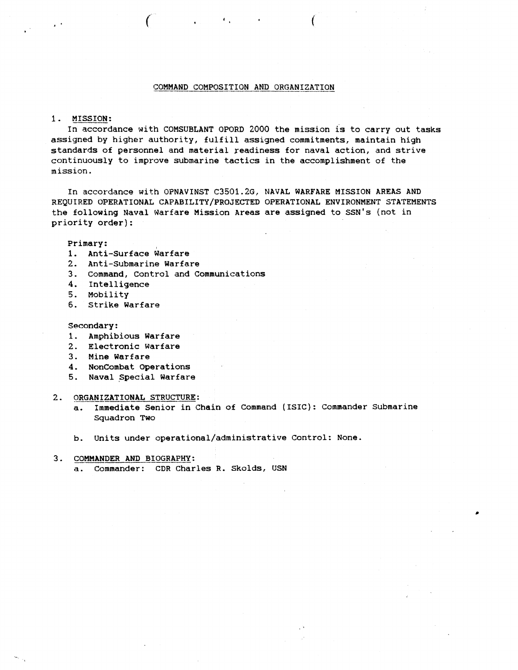## COMMAND COMPOSITION AND ORGANIZATION

#### **1.** MISSION:

In accordance with COMSUBLANT OPORD **2000** the mission is to carry out tasks assigned by higher authority, fulfill assigned commitments, maintain high standards of personnel and material readiness for naval action, and strive continuously to improve submarine tactics in the accomplishment of the mission.

In accordance with OPNAVINST C3501.2G, NAVAL WARFARE MISSION AREAS AND REQUIRED OPERATIONAL CAPABILITY/PROJECTED OPERATIONAL ENVIRONMENT STATEMENTS the following Naval Warfare Mission Areas are assigned to SSN's (not in priority order) :

Primary:

- 1. Anti-Surface Warfare
- 2. Anti-Submarine Warfare
- 3. Command, Control and Communications
- 4. Intelligence
- **5.** Mobility
- 6. Strike Warfare

Secondary:

- 1. Amphibious Warfare
- 2. Electronic Warfare
- 3. Mine Warfare
- 4. Noncombat Operations
- **5.** Naval Special Warfare
- 2. ORGANIZATIONAL STRUCTURE:
	- a. Immediate Senior in Chain of Command (ISIC): Commander Submarine Squadron Two
	- b. Units under **operational/administrative** Control: None.
- 3. COMMANDER AND BIOGRAPHY:
	- a. Commander: CDR Charles R. Skolds, USN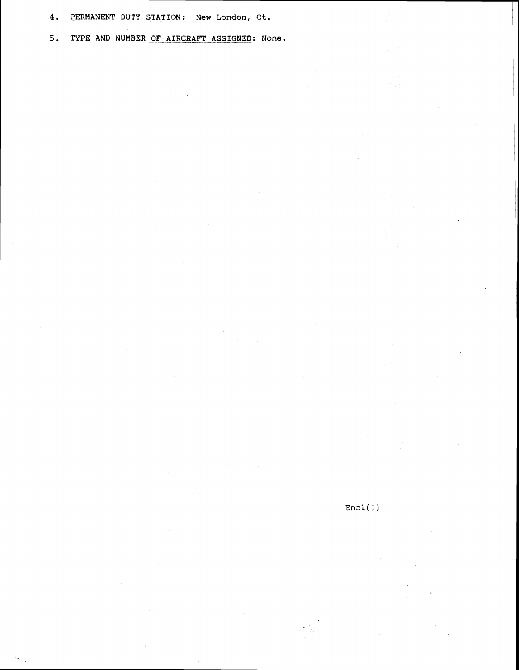**4- PERMANENT DUTY STATION: New London, Ct.** 

**5. TYPE AND NUMBER OF AIRCRAFT ASSIGNED:** None.

 $\text{Enc1}(1)$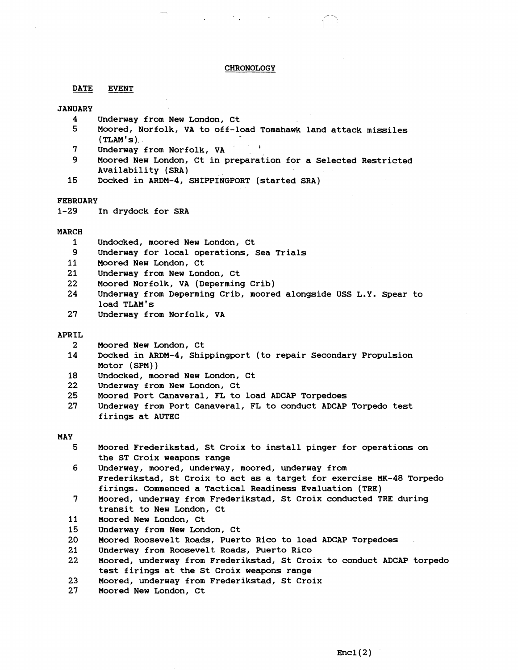#### **CHRONOLOGY**

### **DATE EVENT**

## **JANUARY**

- **4 Underway from New London, Ct**
- **5 Moored, Norfolk, VA to off-load Tomahawk land attack missiles (TLAM** ' **s).**
- **7 Underway from Norfolk, VA <sup>I</sup>**
- **9 Moored New London, Ct in preparation for a Selected Restricted Availability (SRA)**
- **15 Docked in ARDM-4, SHIPPINGPORT (started SRA)**

## **FEBRUARY**

**1-29 In drydock for SRA** 

### **MARCH**

- **1 Undocked, moored New London, Ct**
- **9 Underway for local operations, Sea Trials**
- **11 Moored New London, Ct**
- **21 Underway from New London, Ct**
- **22 Moored Norfolk, VA (Deperming Crib)**
- **24 Underway from Deperming Crib, moored alongside USS L.Y. Spear to load TLAM's**
- **27 Underway from Norfolk, VA**

#### **APRIL**

- **2 Moored New London, Ct**
- **14 Docked in ARDM-4, Shippingport (to repair Secondary Propulsion Motor (SPM))**
- **18 Undocked, moored New London, Ct**
- **22 Underway from New London, Ct**
- **25 Moored Port Canaveral, FL to load ADCAP Torpedoes**
- **27 Underway from Port Canaveral, FL to conduct ADCAP Torpedo test firings at AUTEC**

#### **MAY**

- **5 Moored Frederikstad, St Croix to install pinger for operations on the ST Croix weapons range**
- 6 **Underway, moored, underway, moored, underway from Frederikstad, St Croix to act as a target for exercise MK-48 Torpedo firings. Commenced a Tactical Readiness Evaluation (TRE)**
- **Moored, underway from Frederikstad, St Croix conducted TRE during**   $7\phantom{.}$ **transit to New London, Ct**
- 11 **Moored New London, Ct**
- 15 **Underway from New London, Ct**
- 20 **Moored Roosevelt Roads, Puerto Rico to load ADCAP Torpedoes**
- $21$ **Underway from Roosevelt Roads, Puerto Rico**
- 22 **Moored, underway from Frederikstad, St Croix to conduct ADCAP torpedo test firings at the St Croix weapons range**
- 23 **Moored, underway from Frederikstad, St Croix**
- 27 **Moored New London, Ct**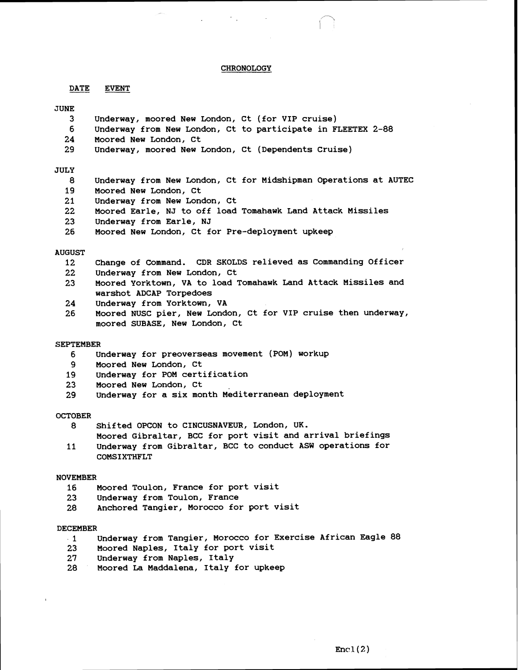## **CHRONOLOGY**

**DATE EVENT** 

### **JUNE**

- **3 Underway, moored New London, Ct (for VIP cruise)**
- **6 Underway from New London, Ct to participate in FLEETEX 2-88**
- **24 Moored New London, Ct**
- **29 Underway, moored New London, Ct (Dependents Cruise)**

### **JULY**

- **8 Underway from New London, Ct for Midshipman Operations at AUTEC**
- **19 Moored New London, Ct**
- **21 Underway from New London, Ct**
- **22 Moored Earle, NJ to off load Tomahawk Land Attack Missiles**
- **23 underway from Earle, NJ**
- **26 Moored New London, Ct for Pre-deployment upkeep**

#### **AUGUST**

- **12 Change of Command. CDR SKOLDS relieved as Commanding Officer**
- **22 Underway from New London, Ct**
- **23 Moored Yorktown, VA to load Tomahawk Land Attack Missiles and warshot ADCAP Torpedoes**
- **24 Underway from Yorktown, VA**
- **26 Moored NUSC pier, New London, Ct for VIP cruise then underway, moored SUBASE, New London, Ct**

#### **SEPTEMBER**

- **6 Underway for preoverseas movement (POM) workup**
- **9 Moored New London, Ct**
- **19 Underway for POM certification**
- **23 Moored New London, Ct**
- 29 Underway for a six month Mediterranean deployment

### **OCTOBER**

- **8 Shifted OPCON to CINCUSNAVEUR, London, UK.** 
	- **Moored Gibraltar, BCC for port visit and arrival briefings**
- **11 Underway from Gibraltar, BCC to conduct ASW operations for COMSIXTHFLT**

#### **NOVEMBER**

- **16 Moored Toulon, France for port visit**
- **23 Underway from Toulon, France**
- **28 Anchored Tangier, Morocco for port visit**

#### **DECEMBER**

- **.1 Underway from Tangier, Morocco for Exercise African Eagle 88**
- **23 Moored Naples, Italy for port visit**
- **27 Underway from Naples, Italy**
- **28 Moored La Maddalena, Italy for upkeep**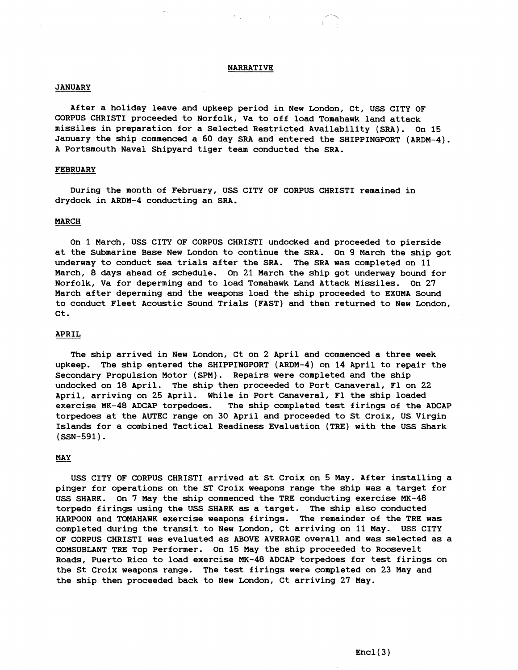## **NARRATIVE**

### **JANUARY**

**After a holiday leave and upkeep period in New London, Ct, USS CITY OF CORPUS CHRIST1 proceeded to Norfolk, Va to off load Tomahawk land attack missiles in preparation for a Selected Restricted Availability (SRA). On 15 January the ship commenced a 60 day SRA and entered the SHIPPINGPORT (ARDM-4). A Portsmouth Naval Shipyard tiger team conducted the SRA.** 

## **FEBRUARY**

**During the month of February, USS CITY OF CORPUS CHRIST1 remained in drydock in ARDM-4 conducting an SRA.** 

### **MARCH**

**On 1 March, USS CITY OF CORPUS CHRIST1 undocked and proceeded to pierside at the Submarine Base New London to continue the SRA. On 9 March the ship got underway to conduct sea trials after the SRA. The SRA was completed on 11 March, 8 days ahead of schedule. On 21 March the ship got underway bound for Norfolk, Va for deperming and to load Tomahawk Land Attack Missiles. On 27 March after deperming and the weapons load the ship proceeded to EXUMA Sound to conduct Fleet Acoustic Sound Trials (FAST) and then returned to New London, Ct.** 

## **APRIL**

**The ship arrived in New London, Ct on 2 April and commenced a three week upkeep. The ship entered the SHIPPINGPORT (ARDM-4) on 14 April to repair the Secondary Propulsion Motor (SPM). Repairs were completed and the ship undocked on 18 April. The ship then proceeded to Port Canaveral, F1 on 22 April, arriving on 25 April. While in Port Canaveral, F1 the ship loaded exercise MK-48 ADCAP torpedoes. The ship completed test firings of the ADCAP torpedoes at the AUTEC range on 30 April and proceeded to St Croix, US Virgin Islands for a combined Tactical Readiness Evaluation (TRE) with the USS Shark (SSN-591).** 

## MAY

**USS CITY OF CORPUS CHRIST1 arrived at St Croix on 5 May. After installing a pinger for operations on the ST Croix weapons range the ship was a target for USS SHARK. On 7 May the ship commenced the TRE conducting exercise MK-48 torpedo firings using the USS SHARK as a target. The ship also conducted HARPOON and TOMAHAWK exercise weapons firings. The remainder of the TRE was completed during the transit to New London, Ct arriving on 11 May. USS CITY OF CORPUS CHRIST1 was evaluated as ABOVE AVERAGE overall and was selected as a COMSUBLANT TRE Top Performer. On 15 May the ship proceeded to Roosevelt Roads, Puerto Rico to load exercise MK-48 ADCAP torpedoes for test firings on the St Croix weapons range. The test firings were completed on 23 May and the ship then proceeded back to New London, Ct arriving 27 May.**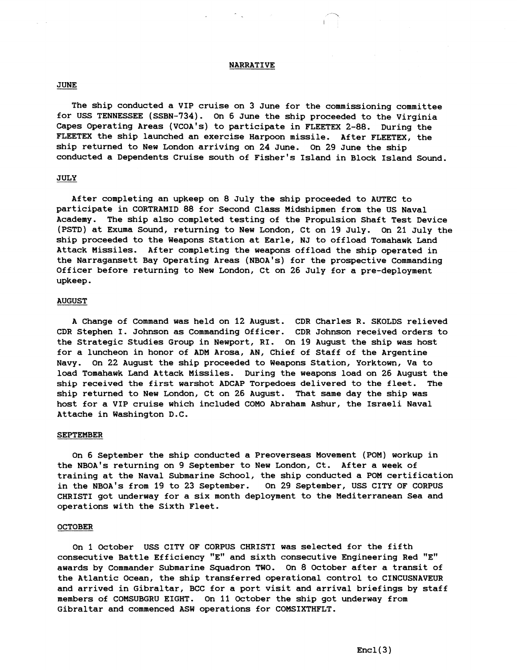## NARRATIVE

## JUNE

The ship conducted a VIP cruise on **3** June for the commissioning committee for USS TENNESSEE (SSBN-734). On 6 June the ship proceeded to the Virginia Capes Operating Areas (VCOA's) to participate in FLEETEX 2-88. During the FLEETEX the ship launched an exercise Harpoon missile. After FLEETEX, the ship returned to New London arriving on 24 June. On 29 June the ship conducted a Dependents Cruise south of Fisher's Island in Block Island Sound.

### JULY

After completing an upkeep on 8 July the ship proceeded to AUTEC to participate in CORTRAMID 88 for Second Class Midshipmen from the US Naval Academy. The ship also completed testing of the Propulsion Shaft Test Device (PSTD) at Exuma Sound, returning to New London, Ct on 19 July. On 21 July the ship proceeded to the Weapons Station at Earle, NJ to offload Tomahawk Land Attack Missiles. After completing the weapons offload the ship operated in the Narragansett Bay Operating Areas (NBOA's) for the prospective Commanding Officer before returning to New London, Ct on 26 July for a pre-deployment upkeep.

### **AUGUST**

A Change of Command was held on 12 August. CDR Charles R. SKOLDS relieved CDR Stephen I. Johnson as Commanding Officer. CDR Johnson received orders to the Strategic Studies Group in Newport, RI. On 19 August the ship was host for a luncheon in honor of ADM Arosa, AN, Chief of Staff of the Argentine Navy. On 22 August the ship proceeded to Weapons Station, Yorktown, Va to load Tomahawk Land Attack Missiles. During the weapons load on 26 August the ship received the first warshot ADCAP Torpedoes delivered to the fleet. The ship returned to New London, Ct on 26 August. That same day the ship was host for a VIP cruise which included COMO Abraham Ashur, the Israeli Naval Attache in Washington D.C.

### **SEPTEMBER**

On 6 September the ship conducted a Preoverseas Movement (POM) workup in the NBOA's returning on 9 September to New London, Ct. After a week of training at the Naval Submarine School, the ship conducted a POM certification in the NBOA's from 19 to 23 September. On 29 September, USS CITY OF CORPUS CHRIST1 got underway for a six month deployment to the Mediterranean Sea and operations with the Sixth Fleet.

#### OCTOBER

On 1 October USS CITY OF CORPUS CHRIST1 was selected for the fifth consecutive Battle Efficiency "E" and sixth consecutive Engineering Red "E" awards by Commander Submarine Squadron TWO. On 8 October after a transit of the Atlantic Ocean, the ship transferred operational control to CINCUSNAVEUR and arrived in Gibraltar, BCC for a port visit and arrival briefings by staff members of COMSUBGRU EIGHT. On 11 October the ship got underway from Gibraltar and commenced ASW operations for COMSIXTHFLT.